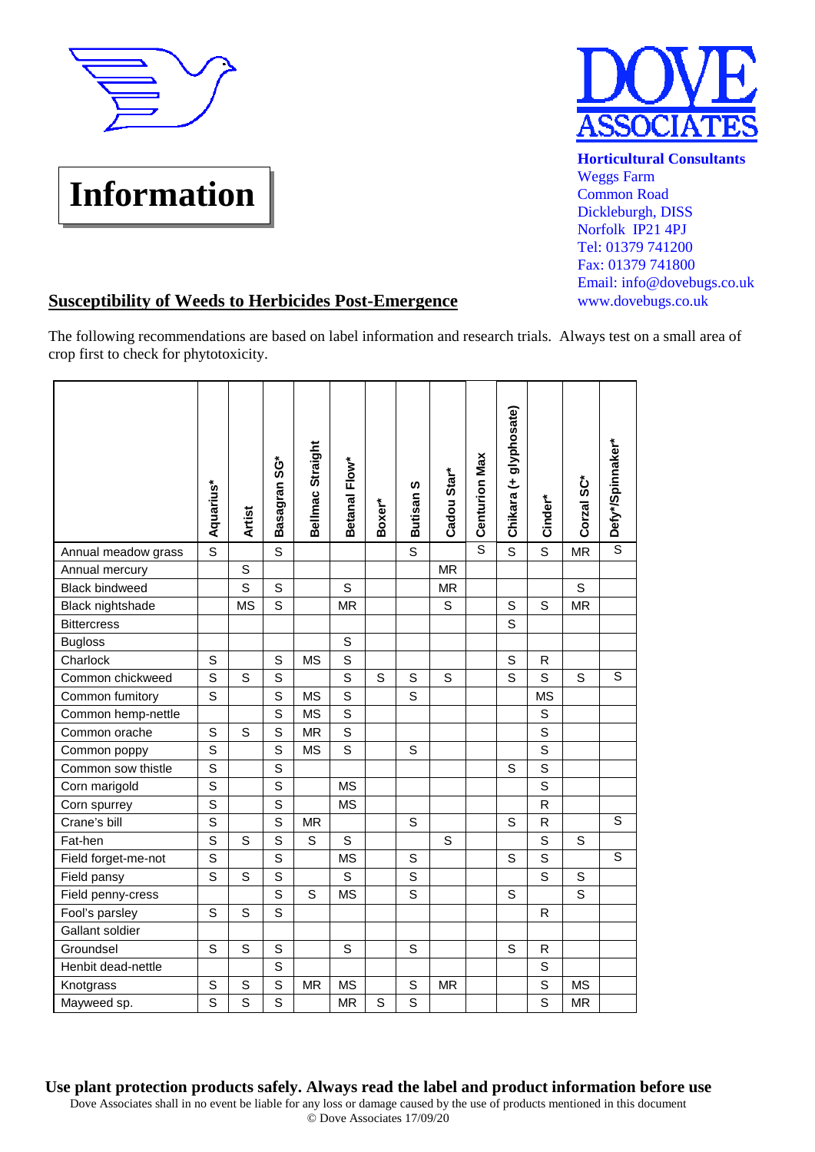

## **Information**



**Horticultural Consultants Weggs Farm** Common Road Dickleburgh, DISS Norfolk IP21 4PJ Tel: 01379 741200 Fax: 01379 741800 Email: info@dovebugs.co.uk www.dovebugs.co.uk

## **Susceptibility of Weeds to Herbicides Post-Emergence**

The following recommendations are based on label information and research trials. Always test on a small area of crop first to check for phytotoxicity.

|                       |                  |               | ູ<br>ຮ       | Bellmac Straight | Betanal Flow* |        |                  |             | <b>Centurion Max</b> | Chikara (+ glyphosate) |                |            | Defy*/Spinnaker* |
|-----------------------|------------------|---------------|--------------|------------------|---------------|--------|------------------|-------------|----------------------|------------------------|----------------|------------|------------------|
|                       | <b>Aquarius*</b> | <b>Artist</b> | Basagran     |                  |               | Boxer* | <b>Butisan S</b> | Cadou Star* |                      |                        | Cinder*        | Corzal SC* |                  |
| Annual meadow grass   | $\overline{s}$   |               | S            |                  |               |        | S                |             | $\overline{s}$       | $\overline{s}$         | S              | <b>MR</b>  | $\overline{s}$   |
| Annual mercury        |                  | S             |              |                  |               |        |                  | <b>MR</b>   |                      |                        |                |            |                  |
| <b>Black bindweed</b> |                  | S             | $\mathsf S$  |                  | $\mathsf{S}$  |        |                  | <b>MR</b>   |                      |                        |                | S          |                  |
| Black nightshade      |                  | <b>MS</b>     | S            |                  | <b>MR</b>     |        |                  | S           |                      | $\mathsf S$            | S              | <b>MR</b>  |                  |
| <b>Bittercress</b>    |                  |               |              |                  |               |        |                  |             |                      | S                      |                |            |                  |
| <b>Bugloss</b>        |                  |               |              |                  | S             |        |                  |             |                      |                        |                |            |                  |
| Charlock              | S                |               | S            | <b>MS</b>        | $\mathbf S$   |        |                  |             |                      | S                      | R              |            |                  |
| Common chickweed      | S                | S             | S            |                  | $\mathbf S$   | S      | S                | S           |                      | S                      | $\mathsf S$    | S          | $\overline{s}$   |
| Common fumitory       | $\mathsf{s}$     |               | S            | <b>MS</b>        | S             |        | S                |             |                      |                        | <b>MS</b>      |            |                  |
| Common hemp-nettle    |                  |               | S            | <b>MS</b>        | S             |        |                  |             |                      |                        | $\mathsf{S}$   |            |                  |
| Common orache         | S                | S             | S            | <b>MR</b>        | $\mathbf S$   |        |                  |             |                      |                        | $\mathbf S$    |            |                  |
| Common poppy          | $\mathsf{s}$     |               | S            | <b>MS</b>        | S             |        | S                |             |                      |                        | $\mathbf S$    |            |                  |
| Common sow thistle    | $\overline{s}$   |               | S            |                  |               |        |                  |             |                      | S                      | $\overline{s}$ |            |                  |
| Corn marigold         | $\mathsf{s}$     |               | S            |                  | <b>MS</b>     |        |                  |             |                      |                        | S              |            |                  |
| Corn spurrey          | $\overline{s}$   |               | S            |                  | <b>MS</b>     |        |                  |             |                      |                        | $\mathsf R$    |            |                  |
| Crane's bill          | S                |               | $\mathsf{s}$ | <b>MR</b>        |               |        | $\mathbf S$      |             |                      | $\mathsf S$            | $\mathsf{R}$   |            | $\overline{s}$   |
| Fat-hen               | S                | S             | S            | S                | S             |        |                  | S           |                      |                        | S              | S          |                  |
| Field forget-me-not   | $\mathbf S$      |               | S            |                  | <b>MS</b>     |        | S                |             |                      | S                      | $\mathbf S$    |            | S                |
| Field pansy           | S                | S             | S            |                  | S             |        | S                |             |                      |                        | S              | S          |                  |
| Field penny-cress     |                  |               | S            | S                | <b>MS</b>     |        | S                |             |                      | S                      |                | S          |                  |
| Fool's parsley        | S                | S             | S            |                  |               |        |                  |             |                      |                        | R              |            |                  |
| Gallant soldier       |                  |               |              |                  |               |        |                  |             |                      |                        |                |            |                  |
| Groundsel             | S                | S             | $\mathbf S$  |                  | S             |        | S                |             |                      | S                      | R              |            |                  |
| Henbit dead-nettle    |                  |               | S            |                  |               |        |                  |             |                      |                        | $\mathsf S$    |            |                  |
| Knotgrass             | S                | $\mathbb S$   | $\mathbf S$  | <b>MR</b>        | <b>MS</b>     |        | S                | <b>MR</b>   |                      |                        | S              | <b>MS</b>  |                  |
| Mayweed sp.           | S                | $\mathsf{s}$  | S            |                  | <b>MR</b>     | S      | S                |             |                      |                        | $\mathbf S$    | MR         |                  |

Use plant protection products safely. Always read the label and product information before use

Dove Associates shall in no event be liable for any loss or damage caused by the use of products mentioned in this document © Dove Associates 17/09/20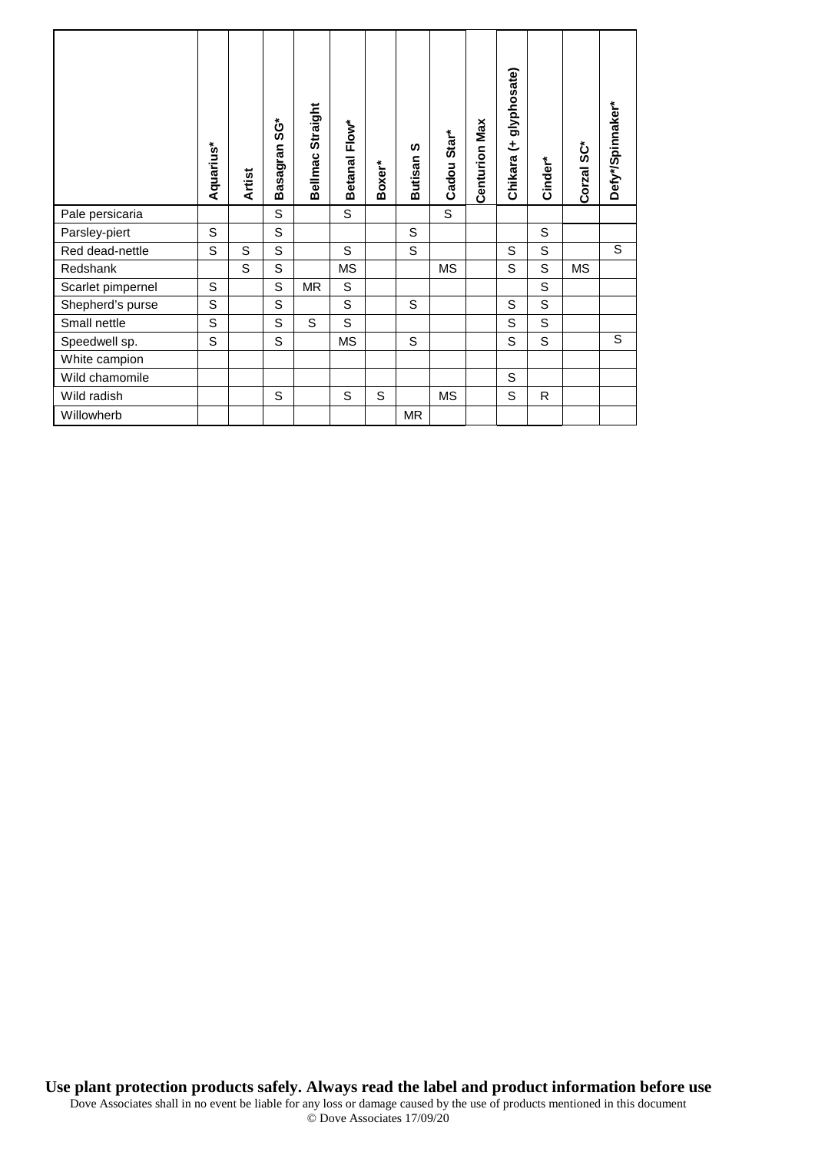|                   | Aquarius* | <b>Artist</b> | ဖွံ့<br>Basagran | Straight<br>Bellmac | Betanal Flow* | Boxer* | <b>S</b><br><b>Butisan</b> | Star <sup>*</sup><br>Cadou | <b>Centurion Max</b> | glyphosate)<br>±<br>Chikara | Cinder* | Corzal SC* | Defy*/Spinnaker* |
|-------------------|-----------|---------------|------------------|---------------------|---------------|--------|----------------------------|----------------------------|----------------------|-----------------------------|---------|------------|------------------|
| Pale persicaria   |           |               | S                |                     | S             |        |                            | S                          |                      |                             |         |            |                  |
| Parsley-piert     | S         |               | S                |                     |               |        | S                          |                            |                      |                             | S       |            |                  |
| Red dead-nettle   | S         | S             | S                |                     | S             |        | S                          |                            |                      | S                           | S       |            | S                |
| Redshank          |           | S             | S                |                     | <b>MS</b>     |        |                            | <b>MS</b>                  |                      | S                           | S       | MS         |                  |
| Scarlet pimpernel | S         |               | S                | <b>MR</b>           | S             |        |                            |                            |                      |                             | S       |            |                  |
| Shepherd's purse  | S         |               | $\mathsf S$      |                     | S             |        | S                          |                            |                      | S                           | S       |            |                  |
| Small nettle      | S         |               | S                | S                   | S             |        |                            |                            |                      | S                           | S       |            |                  |
| Speedwell sp.     | S         |               | S                |                     | <b>MS</b>     |        | S                          |                            |                      | S                           | S       |            | S                |
| White campion     |           |               |                  |                     |               |        |                            |                            |                      |                             |         |            |                  |
| Wild chamomile    |           |               |                  |                     |               |        |                            |                            |                      | S                           |         |            |                  |
| Wild radish       |           |               | S                |                     | S             | S      |                            | <b>MS</b>                  |                      | S                           | R.      |            |                  |
| Willowherb        |           |               |                  |                     |               |        | MR                         |                            |                      |                             |         |            |                  |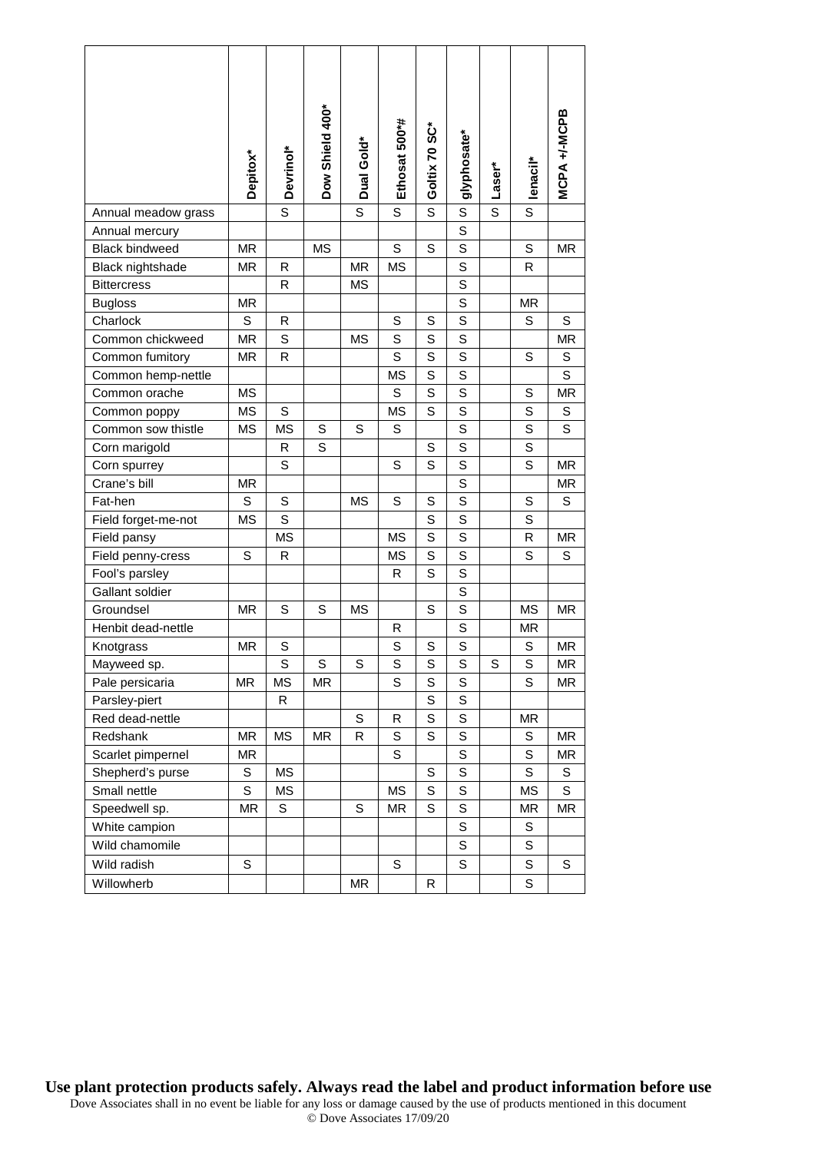|                       | Depitox*  | Devrinol* | Dow Shield 400* | Dual Gold*   | Ethosat 500*# | Goltix 70 SC* | glyphosate* | Laser* | lenacil*    | MCPA +/-MCPB |
|-----------------------|-----------|-----------|-----------------|--------------|---------------|---------------|-------------|--------|-------------|--------------|
| Annual meadow grass   |           | S         |                 | S            | S             | S             | S           | S      | S           |              |
| Annual mercury        |           |           |                 |              |               |               | $\mathbf S$ |        |             |              |
| <b>Black bindweed</b> | <b>MR</b> |           | <b>MS</b>       |              | S             | S             | S           |        | S           | <b>MR</b>    |
| Black nightshade      | ΜR        | R         |                 | ΜR           | <b>MS</b>     |               | S           |        | R           |              |
| <b>Bittercress</b>    |           | R         |                 | <b>MS</b>    |               |               | $\mathbf S$ |        |             |              |
| <b>Bugloss</b>        | ΜR        |           |                 |              |               |               | S           |        | ΜR          |              |
| Charlock              | S         | R         |                 |              | S             | S             | S           |        | S           | S            |
| Common chickweed      | <b>MR</b> | S         |                 | <b>MS</b>    | S             | S             | S           |        |             | <b>MR</b>    |
| Common fumitory       | ΜR        | R         |                 |              | S             | S             | S           |        | S           | S            |
| Common hemp-nettle    |           |           |                 |              | <b>MS</b>     | S             | $\mathbf S$ |        |             | S            |
| Common orache         | МS        |           |                 |              | S             | S             | S           |        | S           | MR           |
| Common poppy          | <b>MS</b> | S         |                 |              | <b>MS</b>     | S             | S           |        | S           | S            |
| Common sow thistle    | <b>MS</b> | <b>MS</b> | S               | S            | S             |               | $\mathbf S$ |        | $\mathbf S$ | S            |
| Corn marigold         |           | R         | S               |              |               | S             | $\mathbf S$ |        | S           |              |
| Corn spurrey          |           | S         |                 |              | S             | S             | $\mathbf S$ |        | $\mathbf S$ | MR           |
| Crane's bill          | ΜR        |           |                 |              |               |               | S           |        |             | ΜR           |
| Fat-hen               | S         | S         |                 | MS           | S             | S             | S           |        | S           | S            |
| Field forget-me-not   | <b>MS</b> | S         |                 |              |               | S             | S           |        | $\mathbf S$ |              |
| Field pansy           |           | MS        |                 |              | <b>MS</b>     | S             | S           |        | R           | MR.          |
| Field penny-cress     | S         | R         |                 |              | МS            | S             | $\mathbf S$ |        | S           | S            |
| Fool's parsley        |           |           |                 |              | R             | S             | S           |        |             |              |
| Gallant soldier       |           |           |                 |              |               |               | S           |        |             |              |
| Groundsel             | <b>MR</b> | S         | S               | <b>MS</b>    |               | S             | S           |        | MS          | <b>MR</b>    |
| Henbit dead-nettle    |           |           |                 |              | R             |               | S           |        | ΜR          |              |
| Knotgrass             | <b>MR</b> | S         |                 |              | S             | S             | $\mathbf S$ |        | S           | ΜR           |
| Mayweed sp.           |           | S         | S               | S            | S             | S             | S           | S      | S           | ΜR           |
| Pale persicaria       | <b>MR</b> | <b>MS</b> | ΜR              |              | S             | S             | S           |        | S           | MR           |
| Parsley-piert         |           | R         |                 |              |               | S             | S           |        |             |              |
| Red dead-nettle       |           |           |                 | $\mathbf S$  | R             | S             | S           |        | MR          |              |
| Redshank              | <b>MR</b> | <b>MS</b> | MR              | $\mathsf{R}$ | S             | S             | S           |        | S           | MR           |
| Scarlet pimpernel     | <b>MR</b> |           |                 |              | S             |               | S           |        | S           | MR           |
| Shepherd's purse      | S         | <b>MS</b> |                 |              |               | S             | S           |        | S           | S            |
| Small nettle          | S         | <b>MS</b> |                 |              | <b>MS</b>     | S             | S           |        | <b>MS</b>   | S            |
| Speedwell sp.         | MR        | S         |                 | S            | ΜR            | S             | S           |        | ΜR          | MR           |
| White campion         |           |           |                 |              |               |               | S           |        | S           |              |
| Wild chamomile        |           |           |                 |              |               |               | S           |        | S           |              |
| Wild radish           | S         |           |                 |              | $\mathbf S$   |               | S           |        | S           | S            |
| Willowherb            |           |           |                 | MR           |               | R             |             |        | S           |              |

**Use plant protection products safely. Always read the label and product information before use**  Dove Associates shall in no event be liable for any loss or damage caused by the use of products mentioned in this document © Dove Associates 17/09/20